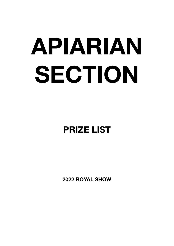# **APIARIAN SECTION**

# **PRIZE LIST**

**2022 ROYAL SHOW**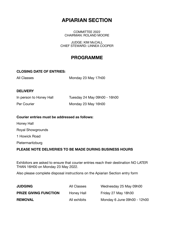# **APIARIAN SECTION**

COMMITTEE 2022 CHAIRMAN: ROLAND MOORE

**JUDGE: KIM McCALL** CHIEF STEWARD: LINNEA COOPER

# **PROGRAMME**

#### **CLOSING DATE OF ENTRIES:**

All Classes Monday 23 May 17h00

#### **DELIVERY**

| In person to Honey Hall | Tuesday 24 May 09h00 - 16h00 |
|-------------------------|------------------------------|
| Per Courier             | Monday 23 May 16h00          |

#### **Courier entries must be addressed as follows:**

Honey Hall Royal Showgrounds 1 Howick Road Pietermaritzburg

#### **PLEASE NOTE DELIVERIES TO BE MADE DURING BUSINESS HOURS**

Exhibitors are asked to ensure that courier entries reach their destination NO LATER THAN 16H00 on Monday 23 May 2022.

Also please complete disposal instructions on the Apiarian Section entry form

| <b>JUDGING</b>               | All Classes  | Wednesday 25 May 09h00      |
|------------------------------|--------------|-----------------------------|
| <b>PRIZE GIVING FUNCTION</b> | Honey Hall   | Friday 27 May 18h30         |
| <b>REMOVAL</b>               | All exhibits | Monday 6 June 09h00 - 12h00 |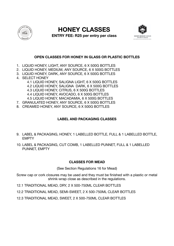

**HONEY CLASSES** 



**ENTRY FEE: R25 per entry per class**

#### **OPEN CLASSES FOR HONEY IN GLASS OR PLASTIC BOTTLES**

- 1. LIQUID HONEY, LIGHT, ANY SOURCE, 6 X 500G BOTTLES
- 2. LIQUID HONEY, MEDIUM, ANY SOURCE, 6 X 500G BOTTLES
- 3. LIQUID HONEY, DARK, ANY SOURCE, 6 X 500G BOTTLES
- 4. SELECT HONEY
	- 4.1 LIQUID HONEY, SALIGNA LIGHT, 6 X 500G BOTTLES
	- 4.2 LIQUID HONEY, SALIGNA DARK, 6 X 500G BOTTLES
	- 4.3 LIQUID HONEY, CITRUS, 6 X 500G BOTTLES
	- 4.4 LIQUID HONEY, AVOCADO, 6 X 500G BOTTLES
	- 4.5 LIQUID HONEY, MACADAMIA, 6 X 500G BOTTLES
- 7. GRANULATED HONEY, ANY SOURCE, 6 X 500G BOTTLES
- 8. CREAMED HONEY, ANY SOURCE, 6 X 500G BOTTLES

#### **LABEL AND PACKAGING CLASSES**

- 9. LABEL & PACKAGING, HONEY, 1 LABELLED BOTTLE, FULL & 1 LABELLED BOTTLE, EMPTY
- 10. LABEL & PACKAGING, CUT COMB, 1 LABELLED PUNNET, FULL & 1 LABELLED PUNNET, EMPTY

#### **CLASSES FOR MEAD**

(See Section Regulations 16 for Mead)

Screw cap or cork closures may be used and they must be finished with a plastic or metal shrink-wrap close as described in the regulations.

12.1 TRADITIONAL MEAD, DRY, 2 X 500-750ML CLEAR BOTTLES

12.2 TRADITIONAL MEAD, SEMI-SWEET, 2 X 500-750ML CLEAR BOTTLES

12.3 TRADITIONAL MEAD, SWEET, 2 X 500-750ML CLEAR BOTTLES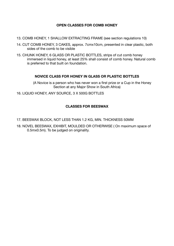#### **OPEN CLASSES FOR COMB HONEY**

- 13. COMB HONEY, 1 SHALLOW EXTRACTING FRAME (see section regulations 10)
- 14. CUT COMB HONEY, 3 CAKES, approx. 7cmx10cm, presented in clear plastic, both sides of the comb to be visible
- 15. CHUNK HONEY, 6 GLASS OR PLASTIC BOTTLES, strips of cut comb honey immersed in liquid honey, at least 25% shall consist of comb honey. Natural comb is preferred to that built on foundation.

#### **NOVICE CLASS FOR HONEY IN GLASS OR PLASTIC BOTTLES**

(A Novice is a person who has never won a first prize or a Cup in the Honey Section at any Major Show in South Africa)

16. LIQUID HONEY, ANY SOURCE, 3 X 500G BOTTLES

#### **CLASSES FOR BEESWAX**

- 17. BEESWAX BLOCK, NOT LESS THAN 1.2 KG, MIN. THICKNESS 50MM
- 18. NOVEL BEESWAX, EXHIBIT, MOULDED OR OTHERWISE ( On maximum space of 0.5mx0.5m). To be judged on originality.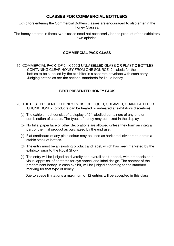#### **CLASSES FOR COMMERCIAL BOTTLERS**

Exhibitors entering the Commercial Bottlers classes are encouraged to also enter in the Honey Classes.

The honey entered in these two classes need not necessarily be the product of the exhibitors own apiaries.

#### **COMMERCIAL PACK CLASS**

19. COMMERCIAL PACK OF 24 X 500G UNLABELLED GLASS OR PLASTIC BOTTLES, CONTAINING CLEAR HONEY FROM ONE SOURCE. 24 labels for the bottles to be supplied by the exhibitor in a separate envelope with each entry. Judging criteria as per the national standards for liquid honey.

#### **BEST PRESENTED HONEY PACK**

- 20. THE BEST PRESENTED HONEY PACK FOR LIQUID, CREAMED, GRANULATED OR CHUNK HONEY (products can be heated or unheated at exhibitor's discretion)
	- (a) The exhibit must consist of a display of 24 labelled containers of any one or combination of shapes. The types of honey may be mixed in the display.
	- (b) No frills, paper lace or other decorations are allowed unless they form an integral part of the final product as purchased by the end user.
	- (c) Flat cardboard of any plain colour may be used as horizontal dividers to obtain a stable stack of bottles.
	- (d) The entry must be an existing product and label, which has been marketed by the exhibitor prior to the Royal Show.
	- (e) The entry will be judged on diversity and overall shelf-appeal, with emphasis on a visual appraisal of contents for eye appeal and label design. The content of the predominant honey, in each exhibit, will be judged according to the standard marking for that type of honey.

(Due to space limitations a maximum of 12 entries will be accepted in this class)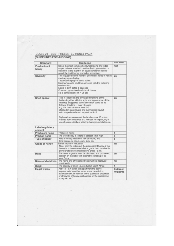# CLASS 20 - BEST PRESENTED HONEY PACK<br>(GUIDELINES FOR JUDGING)

| <b>Standard</b>             | Guideline                                                                                                                                                                                                                                                                                                                                                                                                                                                                                                            | <b>Total points</b>   |
|-----------------------------|----------------------------------------------------------------------------------------------------------------------------------------------------------------------------------------------------------------------------------------------------------------------------------------------------------------------------------------------------------------------------------------------------------------------------------------------------------------------------------------------------------------------|-----------------------|
| Predominant<br>honey        | Select the most common honey/packaging and judge<br>as per national standard i.e either liquid, granulated or<br>creamed. In the event of an equal number of bottles -<br>select the liquid honey and judge accordingly                                                                                                                                                                                                                                                                                              | 100                   |
| <b>Diversity</b>            | This is judged on the number of different types of honey<br>/packaging on display.<br>1 type/packaging $=$ 5 basic points.<br>Maximum points could be achieved with the following<br>combination:<br>Liquid in both bottle & squeeze<br>Creamed, granulated and chunk honey<br>e.g 5 combinations $x5 = 25$ pts                                                                                                                                                                                                      | 25                    |
| Shelf appeal                | This is judged on the layout and stacking of the<br>bottles together with the style and appearance of the<br>labeling. Suggested points allocation could be as<br>follows; Stacking - max 10 points<br>e.g. flat rows on same level 2-5<br>stacked in many layers and symmetrical layout<br>with shaped cardboard separators 5-10.<br>Style and appearance of the labels - max 15 points.<br>Viewed from a distance of 2 mtr look for impact, style,<br>use of colour, clarity of lettering, background clutter etc. | 25                    |
| Label regulatory<br>content |                                                                                                                                                                                                                                                                                                                                                                                                                                                                                                                      |                       |
| Producers name              | Producers name                                                                                                                                                                                                                                                                                                                                                                                                                                                                                                       | 5                     |
| Product name                | The word honey in letters of at least 4mm high                                                                                                                                                                                                                                                                                                                                                                                                                                                                       | 5                     |
| <b>Type of honey</b>        | Kind of honey (creamed, raw or chunk) and<br>floral source i.e citrus, gum, litchi etc.                                                                                                                                                                                                                                                                                                                                                                                                                              | 5                     |
| Grade of honey              | Either choice or industrial.<br>Note: from the judging of the predominant honey, if the<br>honey is not considered choice grade then penalise in<br>points (note raw cannot display a grade -5 pts)                                                                                                                                                                                                                                                                                                                  | 10                    |
| Mass                        | The mass in grams must be displayed in a prominent<br>position on the label with distinctive lettering of at<br>least 5mm                                                                                                                                                                                                                                                                                                                                                                                            | 10                    |
| Name and address            | The name and physical address must be displayed<br>prominently.                                                                                                                                                                                                                                                                                                                                                                                                                                                      | 10                    |
| Origin                      | The country of origin i.e. product of South Africa                                                                                                                                                                                                                                                                                                                                                                                                                                                                   | 5                     |
| Illegal words               | Act 119 - 9.4 states that apart from the above<br>requirements "no other name, mark, description,<br>advertisement, or claim as to the qualitative properties<br>or otherwise of honey shall appear on the container of<br>honey etc. etc"                                                                                                                                                                                                                                                                           | Subtract<br>10 points |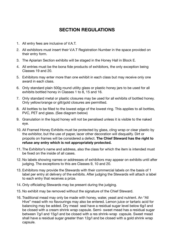# **SECTION REGULATIONS**

- 1. All entry fees are inclusive of V.A.T.
- 2. All exhibitors must insert their V.A.T Registration Number in the space provided on their entry form.
- 3. The Apiarian Section exhibits will be staged in the Honey Hall in Block E.
- 4. All entries must be the bona fide products of exhibitors, the only exception being Classes 19 and 20.
- 5. Exhibitors may enter more than one exhibit in each class but may receive only one award in each class.
- 6. Only standard plain 500g round utility glass or plastic honey jars to be used for all exhibits bottled honey in Classes 1 to 8, 15 and 16.
- 7. Only standard metal or plastic closures may be used for all exhibits of bottled honey. Only yellow/orange or gilt/gold closures are permitted.
- 8. All bottles to be filled to the lowest edge of the lowest ring. This applies to all bottles, PVC, PET and glass. (See diagram below)
- 9. Granulation in the liquid honey will not be penalised unless it is visible to the naked eye.
- 10. All Framed Honey Exhibits must be protected by glass, cling wrap or clear plastic by the exhibitor, but the use of paper, lacer other decoration will disqualify. Dirt or propolis on frames will be considered a defect. **The Chief Steward has the right to refuse any entry which is not appropriately protected.**
- 11. The Exhibitor's name and address, also the class for which the item is intended must be fixed on the inside of all cases.
- 12. No labels showing names or addresses of exhibitors may appear on exhibits until after judging. The exceptions to this are Classes 9, 10 and 20.
- 13. Exhibitors may provide the Stewards with their commercial labels on the basis of 1 label per entry at delivery of the exhibits. After judging the Stewards will attach a label to each entry that receives a prize.
- 14. Only officiating Stewards may be present during the judging.
- 15. No exhibit may be removed without the signature of the Chief Steward.
- 16. Traditional mead may only be made with honey, water, yeast and nutrient. An "All Hive" mead with no flavourings may also be entered. Lemon juice or tartaric acid for balancing may be added. Dry mead seal have a residual sugar level below 6g/l and be closed with a cream shrink wrap capsule. Semi- sweet mead has a residual sugar between 7g/l and 15g/l and be closed with a res shrink-wrap capsule. Sweet mead shall have a residual sugar greater than 12g/l and be closed with a gold shrink wrap capsule.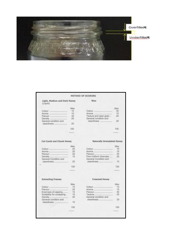

Max

35

 $15$ 

25

25

100

Max

15

15

35

25

 $10$ 

100

Max

 $10$ 

15

30

25

 $20$ 

100

#### **METHOD OF SCORING Light, Medium and Dark Honey** Wax (Liquid) Max  $10$ Aroma<br>Texture and clear grain... 15 Flavour ................................ 35 General condition and 20 General condition and cleanliness ................... cleanliness ................... 20 100 ۰. **Cut Comb and Chunk Honey Naturally Granulated Honey** Max 20 20 Flavour............................... 25 Flavour................................ 15 Fine Uniform Granules .... General Condition and General Condition and cleanliness .....................  $20$ cleanliness ..................... 100 **Extracting Frames Creamed Honey** Max  $10$ Flavour.................................. 25 Evenness of capping......... 15 Suitability for uncapping. 15 Texture ............................... Density<br>General condition and General condition and 20 cleanliness ....................... cleanliness ...................... 15 100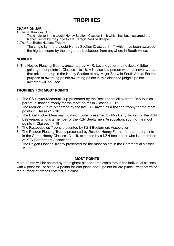# **TROPHIES**

#### **CHAMPION JAR**

1. The NJ Kearsley Cup

The single jar in the Liquid Honey Section (Classes 1 - 4) which has been awarded the highest score by the judge to a KZN registered beekeeper.

2 .The Ron Botha National Trophy

The single jar in the Liquid Honey Section (Classes 1 - 4) which has been awarded the highest score by the judge to a beekeeper from anywhere in South Africa.

#### **NOVICES**

3. The Novice Floating Trophy, presented by Mr R. Leveridge for the novice exhibitor gaining most points in Classes 1 to 16. A Novice is a person who has never won a first prize or a cup in the Honey Section at any Major Show in South Africa. For the purpose of awarding points awarding points in this class the judge's points awarded will be used.

#### **TROPHIES FOR MOST POINTS**

- 4. The CS Hayter Memorial Cup presented by the Beekeepers all over the Republic as perpetual floating trophy for the most points in Classes 1 - 16
- 5. The Merrick Cup re-presented by the late CS Hayter, as a floating trophy for the most points in Classes 1 - 18
- 6. The Basil Tucker Memorial Floating Trophy presented by Mrs Betty Tucker for the KZN Beekeeper, who is a member of the KZN Beefarmers Association, scoring the most points in Classes 1 - 18
- 7. The Papadopolos Trophy presented by KZN Beefarmers Association
- 8. The Resden Floating Trophy presented by Resden Honey Farms, for the most points in the Comb Honey Classes 13 - 15, exhibited by a KZN beekeeper who is a member of KZN Beefarmers Association.
- 9. The Dalgen Floating Trophy presented for the most points in the Commercial classes 19 - 20

#### **MOST POINTS**

Most points will be scored by the highest placed three exhibitors in the individual classes with 6 point for 1st place, 4 points for 2nd place and 2 points for 3rd place, irrespective of the number of entries entered in a class.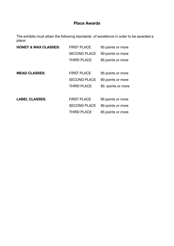### **Place Awards**

The exhibits must attain the following standards of excellence in order to be awarded a place:

| <b>HONEY &amp; WAX CLASSES:</b> | <b>FIRST PLACE</b>  | 95 points or more |
|---------------------------------|---------------------|-------------------|
|                                 | <b>SECOND PLACE</b> | 90 points or more |
|                                 | <b>THIRD PLACE</b>  | 85 points or more |
|                                 |                     |                   |
| <b>MEAD CLASSES:</b>            | <b>FIRST PLACE</b>  | 95 points or more |
|                                 | <b>SECOND PLACE</b> | 90 points or more |
|                                 | <b>THIRD PLACE</b>  | 85 points or more |
|                                 |                     |                   |
| <b>LABEL CLASSES:</b>           | <b>FIRST PLACE</b>  | 95 points or more |
|                                 | <b>SECOND PLACE</b> | 90 points or more |
|                                 | <b>THIRD PLACE</b>  | 85 points or more |
|                                 |                     |                   |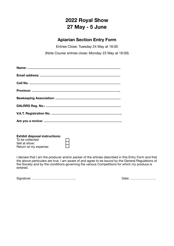# **2022 Royal Show 27 May - 5 June**

# **Apiarian Section Entry Form**

Entries Close: Tuesday 24 May at 16:00 (Note Courier entries close: Monday 23 May at 16:00)

| <b>Exhibit disposal instructions:</b> |  |
|---------------------------------------|--|
| To be collected:                      |  |
| Sell at show:                         |  |
| Return at my expense:                 |  |

I declare that I am the producer and/or packer of the articles described in this Entry Form and that the above particulars are true. I am aware of and agree to be bound by the General Regulations of the Society and by the conditions governing the various Competitions for which my produce is entered.

Signature: ………………………………….. Date: ……………………